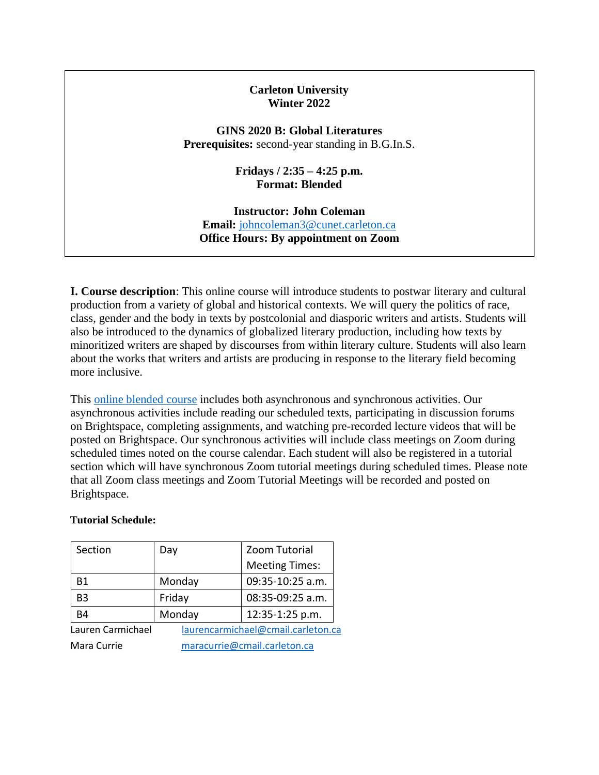### **Carleton University Winter 2022**

**GINS 2020 B: Global Literatures Prerequisites:** second-year standing in B.G.In.S.

> **Fridays / 2:35 – 4:25 p.m. Format: Blended**

**Instructor: John Coleman Email:** [johncoleman3@cunet.carleton.ca](mailto:johncoleman3@cunet.carleton.ca) **Office Hours: By appointment on Zoom** 

**I. Course description**: This online course will introduce students to postwar literary and cultural production from a variety of global and historical contexts. We will query the politics of race, class, gender and the body in texts by postcolonial and diasporic writers and artists. Students will also be introduced to the dynamics of globalized literary production, including how texts by minoritized writers are shaped by discourses from within literary culture. Students will also learn about the works that writers and artists are producing in response to the literary field becoming more inclusive.

This [online blended course](https://carleton.ca/online/getting-started-in-your-online-course/types-of-online-courses/) includes both asynchronous and synchronous activities. Our asynchronous activities include reading our scheduled texts, participating in discussion forums on Brightspace, completing assignments, and watching pre-recorded lecture videos that will be posted on Brightspace. Our synchronous activities will include class meetings on Zoom during scheduled times noted on the course calendar. Each student will also be registered in a tutorial section which will have synchronous Zoom tutorial meetings during scheduled times. Please note that all Zoom class meetings and Zoom Tutorial Meetings will be recorded and posted on Brightspace.

#### **Tutorial Schedule:**

| Section           | Day                          | Zoom Tutorial                      |  |  |
|-------------------|------------------------------|------------------------------------|--|--|
|                   |                              | <b>Meeting Times:</b>              |  |  |
| <b>B1</b>         | Monday                       | 09:35-10:25 a.m.                   |  |  |
| B <sub>3</sub>    | Friday                       | 08:35-09:25 a.m.                   |  |  |
| <b>B4</b>         | Monday                       | 12:35-1:25 p.m.                    |  |  |
| Lauren Carmichael |                              | laurencarmichael@cmail.carleton.ca |  |  |
| Mara Currie       | maracurrie@cmail.carleton.ca |                                    |  |  |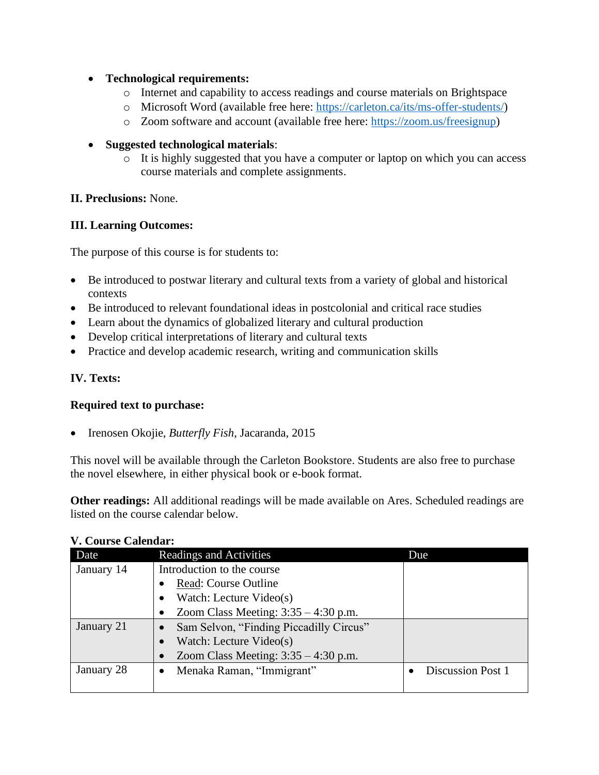## • **Technological requirements:**

- o Internet and capability to access readings and course materials on Brightspace
- o Microsoft Word (available free here: [https://carleton.ca/its/ms-offer-students/\)](https://carleton.ca/its/ms-offer-students/)
- o Zoom software and account (available free here: [https://zoom.us/freesignup\)](https://zoom.us/freesignup)

# • **Suggested technological materials**:

o It is highly suggested that you have a computer or laptop on which you can access course materials and complete assignments.

# **II. Preclusions:** None.

# **III. Learning Outcomes:**

The purpose of this course is for students to:

- Be introduced to postwar literary and cultural texts from a variety of global and historical contexts
- Be introduced to relevant foundational ideas in postcolonial and critical race studies
- Learn about the dynamics of globalized literary and cultural production
- Develop critical interpretations of literary and cultural texts
- Practice and develop academic research, writing and communication skills

# **IV. Texts:**

## **Required text to purchase:**

• Irenosen Okojie, *Butterfly Fish*, Jacaranda, 2015

This novel will be available through the Carleton Bookstore. Students are also free to purchase the novel elsewhere, in either physical book or e-book format.

**Other readings:** All additional readings will be made available on Ares. Scheduled readings are listed on the course calendar below.

| Date       | <b>Readings and Activities</b>          | Due                      |
|------------|-----------------------------------------|--------------------------|
| January 14 | Introduction to the course              |                          |
|            | Read: Course Outline                    |                          |
|            | Watch: Lecture Video(s)                 |                          |
|            | Zoom Class Meeting: $3:35 - 4:30$ p.m.  |                          |
| January 21 | Sam Selvon, "Finding Piccadilly Circus" |                          |
|            | Watch: Lecture Video(s)                 |                          |
|            | Zoom Class Meeting: $3:35 - 4:30$ p.m.  |                          |
| January 28 | Menaka Raman, "Immigrant"               | <b>Discussion Post 1</b> |
|            |                                         |                          |

## **V. Course Calendar:**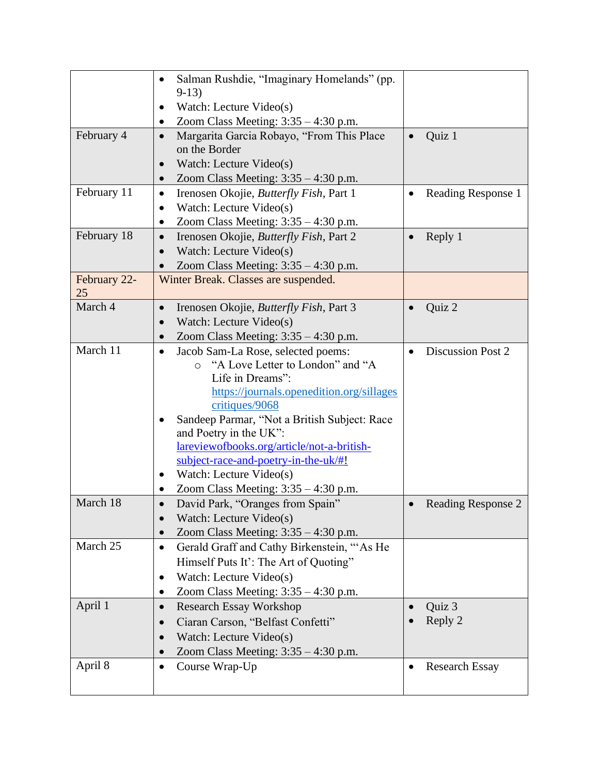|              | Salman Rushdie, "Imaginary Homelands" (pp.                   |           |                          |
|--------------|--------------------------------------------------------------|-----------|--------------------------|
|              | $9-13)$                                                      |           |                          |
|              | Watch: Lecture Video(s)                                      |           |                          |
|              | Zoom Class Meeting: $3:35 - 4:30$ p.m.<br>٠                  |           |                          |
| February 4   | Margarita Garcia Robayo, "From This Place<br>$\bullet$       |           | Quiz 1                   |
|              | on the Border                                                |           |                          |
|              | Watch: Lecture Video(s)                                      |           |                          |
|              | Zoom Class Meeting: $3:35 - 4:30$ p.m.<br>$\bullet$          |           |                          |
| February 11  | Irenosen Okojie, Butterfly Fish, Part 1<br>$\bullet$         |           | Reading Response 1       |
|              | Watch: Lecture Video(s)<br>$\bullet$                         |           |                          |
|              | Zoom Class Meeting: $3:35 - 4:30$ p.m.<br>$\bullet$          |           |                          |
| February 18  | Irenosen Okojie, Butterfly Fish, Part 2<br>$\bullet$         | $\bullet$ | Reply 1                  |
|              | Watch: Lecture Video(s)                                      |           |                          |
|              | Zoom Class Meeting: $3:35 - 4:30$ p.m.                       |           |                          |
| February 22- | Winter Break. Classes are suspended.                         |           |                          |
| 25           |                                                              |           |                          |
| March 4      | Irenosen Okojie, <i>Butterfly Fish</i> , Part 3<br>$\bullet$ |           | Quiz 2                   |
|              | Watch: Lecture Video(s)                                      |           |                          |
|              | Zoom Class Meeting: $3:35 - 4:30$ p.m.                       |           |                          |
| March 11     | Jacob Sam-La Rose, selected poems:<br>$\bullet$              |           | <b>Discussion Post 2</b> |
|              | "A Love Letter to London" and "A<br>$\Omega$                 |           |                          |
|              | Life in Dreams":                                             |           |                          |
|              | https://journals.openedition.org/sillages                    |           |                          |
|              | critiques/9068                                               |           |                          |
|              | Sandeep Parmar, "Not a British Subject: Race                 |           |                          |
|              | and Poetry in the UK":                                       |           |                          |
|              | lareviewofbooks.org/article/not-a-british-                   |           |                          |
|              | subject-race-and-poetry-in-the-uk/#!                         |           |                          |
|              | Watch: Lecture Video(s)<br>$\bullet$                         |           |                          |
|              | Zoom Class Meeting: $3:35 - 4:30$ p.m.                       |           |                          |
| March 18     | David Park, "Oranges from Spain"                             |           | Reading Response 2       |
|              | Watch: Lecture Video(s)                                      |           |                          |
|              | Zoom Class Meeting: $3:35 - 4:30$ p.m.                       |           |                          |
| March 25     | Gerald Graff and Cathy Birkenstein, "As He<br>$\bullet$      |           |                          |
|              | Himself Puts It': The Art of Quoting"                        |           |                          |
|              | Watch: Lecture Video(s)<br>٠                                 |           |                          |
|              | Zoom Class Meeting: $3:35 - 4:30$ p.m.<br>$\bullet$          |           |                          |
| April 1      | <b>Research Essay Workshop</b><br>$\bullet$                  |           | Quiz 3                   |
|              | Ciaran Carson, "Belfast Confetti"                            |           | Reply 2                  |
|              | Watch: Lecture Video(s)<br>$\bullet$                         |           |                          |
|              | Zoom Class Meeting: $3:35 - 4:30$ p.m.                       |           |                          |
| April 8      | Course Wrap-Up<br>$\bullet$                                  |           | <b>Research Essay</b>    |
|              |                                                              |           |                          |
|              |                                                              |           |                          |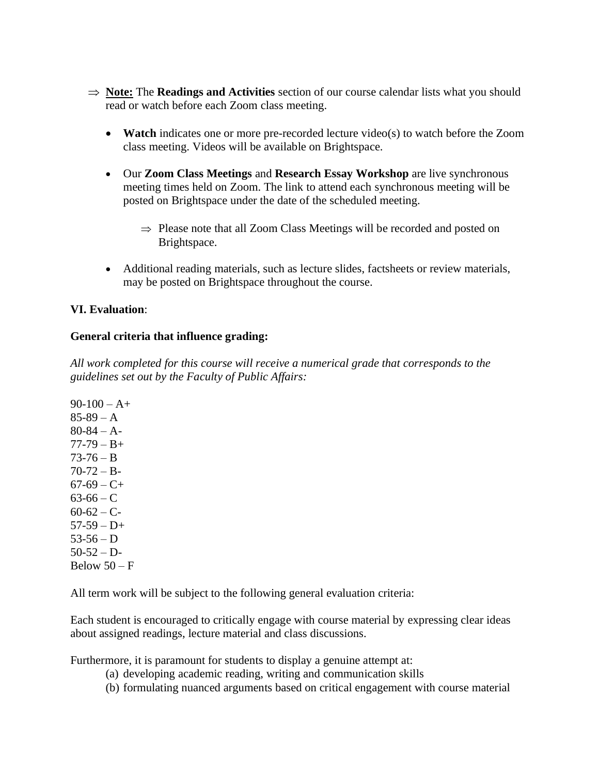- $\Rightarrow$  **Note:** The **Readings and Activities** section of our course calendar lists what you should read or watch before each Zoom class meeting.
	- **Watch** indicates one or more pre-recorded lecture video(s) to watch before the Zoom class meeting. Videos will be available on Brightspace.
	- Our **Zoom Class Meetings** and **Research Essay Workshop** are live synchronous meeting times held on Zoom. The link to attend each synchronous meeting will be posted on Brightspace under the date of the scheduled meeting.
		- $\Rightarrow$  Please note that all Zoom Class Meetings will be recorded and posted on Brightspace.
	- Additional reading materials, such as lecture slides, factsheets or review materials, may be posted on Brightspace throughout the course.

### **VI. Evaluation**:

### **General criteria that influence grading:**

*All work completed for this course will receive a numerical grade that corresponds to the guidelines set out by the Faculty of Public Affairs:* 

 $90-100 - A +$  $85-89 - A$  $80-84 - A 77-79 - B+$  $73-76 - B$  $70-72 - B$  $67-69 - C +$  $63-66 - C$  $60-62 - C$  $57-59 - D+$  $53-56 - D$  $50-52 - D$ Below  $50 - F$ 

All term work will be subject to the following general evaluation criteria:

Each student is encouraged to critically engage with course material by expressing clear ideas about assigned readings, lecture material and class discussions.

Furthermore, it is paramount for students to display a genuine attempt at:

- (a) developing academic reading, writing and communication skills
- (b) formulating nuanced arguments based on critical engagement with course material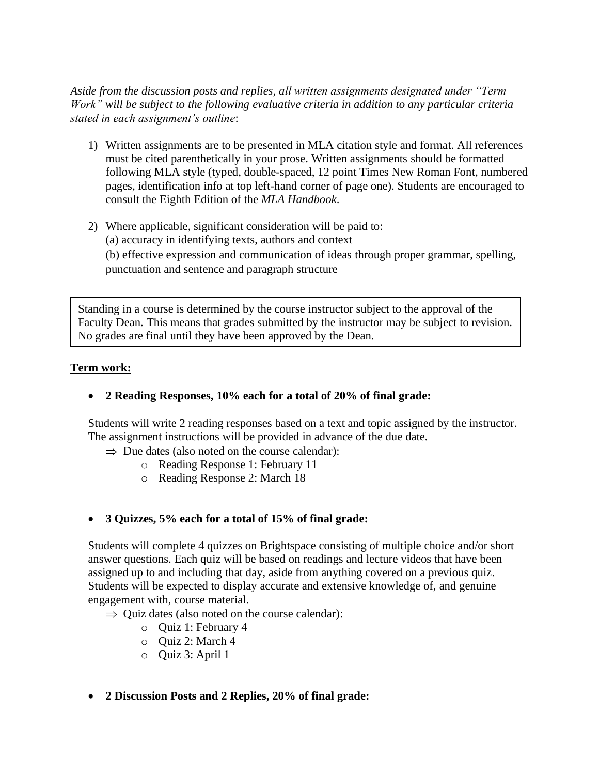*Aside from the discussion posts and replies, all written assignments designated under "Term Work" will be subject to the following evaluative criteria in addition to any particular criteria stated in each assignment's outline*:

- 1) Written assignments are to be presented in MLA citation style and format. All references must be cited parenthetically in your prose. Written assignments should be formatted following MLA style (typed, double-spaced, 12 point Times New Roman Font, numbered pages, identification info at top left-hand corner of page one). Students are encouraged to consult the Eighth Edition of the *MLA Handbook*.
- 2) Where applicable, significant consideration will be paid to: (a) accuracy in identifying texts, authors and context (b) effective expression and communication of ideas through proper grammar, spelling, punctuation and sentence and paragraph structure

Standing in a course is determined by the course instructor subject to the approval of the Faculty Dean. This means that grades submitted by the instructor may be subject to revision. No grades are final until they have been approved by the Dean.

## **Term work:**

# • **2 Reading Responses, 10% each for a total of 20% of final grade:**

Students will write 2 reading responses based on a text and topic assigned by the instructor. The assignment instructions will be provided in advance of the due date.

 $\Rightarrow$  Due dates (also noted on the course calendar):

- o Reading Response 1: February 11
- o Reading Response 2: March 18

# • **3 Quizzes, 5% each for a total of 15% of final grade:**

Students will complete 4 quizzes on Brightspace consisting of multiple choice and/or short answer questions. Each quiz will be based on readings and lecture videos that have been assigned up to and including that day, aside from anything covered on a previous quiz. Students will be expected to display accurate and extensive knowledge of, and genuine engagement with, course material.

 $\Rightarrow$  Ouiz dates (also noted on the course calendar):

- o Quiz 1: February 4
- o Quiz 2: March 4
- o Quiz 3: April 1
- **2 Discussion Posts and 2 Replies, 20% of final grade:**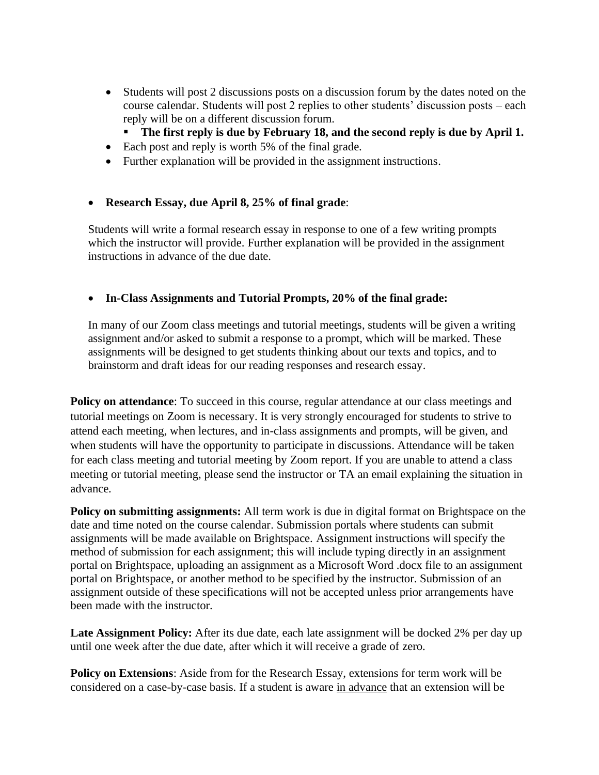- Students will post 2 discussions posts on a discussion forum by the dates noted on the course calendar. Students will post 2 replies to other students' discussion posts – each reply will be on a different discussion forum.
	- **The first reply is due by February 18, and the second reply is due by April 1.**
- Each post and reply is worth 5% of the final grade.
- Further explanation will be provided in the assignment instructions.

# • **Research Essay, due April 8, 25% of final grade**:

Students will write a formal research essay in response to one of a few writing prompts which the instructor will provide. Further explanation will be provided in the assignment instructions in advance of the due date.

## • **In-Class Assignments and Tutorial Prompts, 20% of the final grade:**

In many of our Zoom class meetings and tutorial meetings, students will be given a writing assignment and/or asked to submit a response to a prompt, which will be marked. These assignments will be designed to get students thinking about our texts and topics, and to brainstorm and draft ideas for our reading responses and research essay.

**Policy on attendance:** To succeed in this course, regular attendance at our class meetings and tutorial meetings on Zoom is necessary. It is very strongly encouraged for students to strive to attend each meeting, when lectures, and in-class assignments and prompts, will be given, and when students will have the opportunity to participate in discussions. Attendance will be taken for each class meeting and tutorial meeting by Zoom report. If you are unable to attend a class meeting or tutorial meeting, please send the instructor or TA an email explaining the situation in advance.

**Policy on submitting assignments:** All term work is due in digital format on Brightspace on the date and time noted on the course calendar. Submission portals where students can submit assignments will be made available on Brightspace. Assignment instructions will specify the method of submission for each assignment; this will include typing directly in an assignment portal on Brightspace, uploading an assignment as a Microsoft Word .docx file to an assignment portal on Brightspace, or another method to be specified by the instructor. Submission of an assignment outside of these specifications will not be accepted unless prior arrangements have been made with the instructor.

Late Assignment Policy: After its due date, each late assignment will be docked 2% per day up until one week after the due date, after which it will receive a grade of zero.

**Policy on Extensions**: Aside from for the Research Essay, extensions for term work will be considered on a case-by-case basis. If a student is aware in advance that an extension will be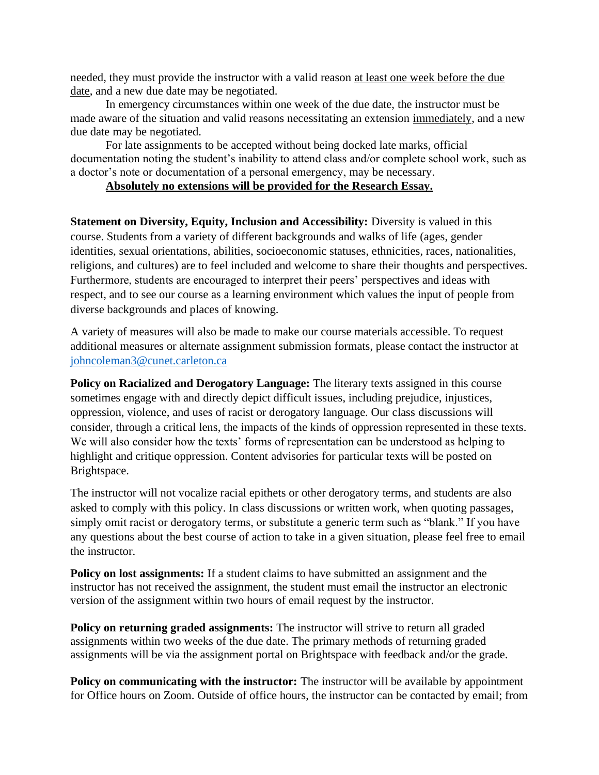needed, they must provide the instructor with a valid reason at least one week before the due date, and a new due date may be negotiated.

In emergency circumstances within one week of the due date, the instructor must be made aware of the situation and valid reasons necessitating an extension immediately, and a new due date may be negotiated.

For late assignments to be accepted without being docked late marks, official documentation noting the student's inability to attend class and/or complete school work, such as a doctor's note or documentation of a personal emergency, may be necessary.

### **Absolutely no extensions will be provided for the Research Essay.**

**Statement on Diversity, Equity, Inclusion and Accessibility:** Diversity is valued in this course. Students from a variety of different backgrounds and walks of life (ages, gender identities, sexual orientations, abilities, socioeconomic statuses, ethnicities, races, nationalities, religions, and cultures) are to feel included and welcome to share their thoughts and perspectives. Furthermore, students are encouraged to interpret their peers' perspectives and ideas with respect, and to see our course as a learning environment which values the input of people from diverse backgrounds and places of knowing.

A variety of measures will also be made to make our course materials accessible. To request additional measures or alternate assignment submission formats, please contact the instructor at [johncoleman3@cunet.carleton.ca](mailto:johncoleman3@cunet.carleton.ca)

**Policy on Racialized and Derogatory Language:** The literary texts assigned in this course sometimes engage with and directly depict difficult issues, including prejudice, injustices, oppression, violence, and uses of racist or derogatory language. Our class discussions will consider, through a critical lens, the impacts of the kinds of oppression represented in these texts. We will also consider how the texts' forms of representation can be understood as helping to highlight and critique oppression. Content advisories for particular texts will be posted on Brightspace.

The instructor will not vocalize racial epithets or other derogatory terms, and students are also asked to comply with this policy. In class discussions or written work, when quoting passages, simply omit racist or derogatory terms, or substitute a generic term such as "blank." If you have any questions about the best course of action to take in a given situation, please feel free to email the instructor.

**Policy on lost assignments:** If a student claims to have submitted an assignment and the instructor has not received the assignment, the student must email the instructor an electronic version of the assignment within two hours of email request by the instructor.

**Policy on returning graded assignments:** The instructor will strive to return all graded assignments within two weeks of the due date. The primary methods of returning graded assignments will be via the assignment portal on Brightspace with feedback and/or the grade.

**Policy on communicating with the instructor:** The instructor will be available by appointment for Office hours on Zoom. Outside of office hours, the instructor can be contacted by email; from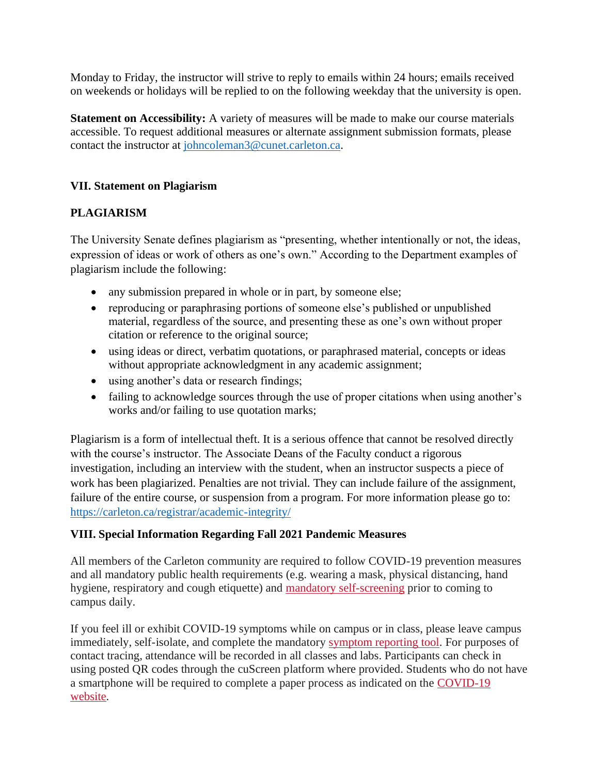Monday to Friday, the instructor will strive to reply to emails within 24 hours; emails received on weekends or holidays will be replied to on the following weekday that the university is open.

**Statement on Accessibility:** A variety of measures will be made to make our course materials accessible. To request additional measures or alternate assignment submission formats, please contact the instructor at [johncoleman3@cunet.carleton.ca.](mailto:johncoleman3@cunet.carleton.ca)

# **VII. Statement on Plagiarism**

# **PLAGIARISM**

The University Senate defines plagiarism as "presenting, whether intentionally or not, the ideas, expression of ideas or work of others as one's own." According to the Department examples of plagiarism include the following:

- any submission prepared in whole or in part, by someone else;
- reproducing or paraphrasing portions of someone else's published or unpublished material, regardless of the source, and presenting these as one's own without proper citation or reference to the original source;
- using ideas or direct, verbatim quotations, or paraphrased material, concepts or ideas without appropriate acknowledgment in any academic assignment;
- using another's data or research findings;
- failing to acknowledge sources through the use of proper citations when using another's works and/or failing to use quotation marks;

Plagiarism is a form of intellectual theft. It is a serious offence that cannot be resolved directly with the course's instructor. The Associate Deans of the Faculty conduct a rigorous investigation, including an interview with the student, when an instructor suspects a piece of work has been plagiarized. Penalties are not trivial. They can include failure of the assignment, failure of the entire course, or suspension from a program. For more information please go to: <https://carleton.ca/registrar/academic-integrity/>

## **VIII. Special Information Regarding Fall 2021 Pandemic Measures**

All members of the Carleton community are required to follow COVID-19 prevention measures and all mandatory public health requirements (e.g. wearing a mask, physical distancing, hand hygiene, respiratory and cough etiquette) and [mandatory self-screening](https://carleton.ca/covid19/screening/) prior to coming to campus daily.

If you feel ill or exhibit COVID-19 symptoms while on campus or in class, please leave campus immediately, self-isolate, and complete the mandatory [symptom reporting tool.](https://carleton.ca/covid19/covid-19-symptom-reporting/) For purposes of contact tracing, attendance will be recorded in all classes and labs. Participants can check in using posted QR codes through the cuScreen platform where provided. Students who do not have a smartphone will be required to complete a paper process as indicated on the [COVID-19](http://carleton.ca/covid19)  [website.](http://carleton.ca/covid19)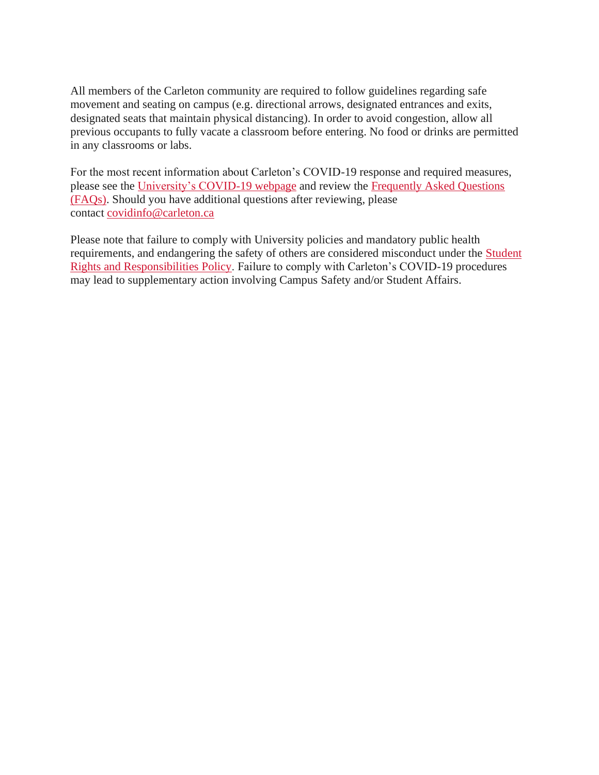All members of the Carleton community are required to follow guidelines regarding safe movement and seating on campus (e.g. directional arrows, designated entrances and exits, designated seats that maintain physical distancing). In order to avoid congestion, allow all previous occupants to fully vacate a classroom before entering. No food or drinks are permitted in any classrooms or labs.

For the most recent information about Carleton's COVID-19 response and required measures, please see the [University's COVID-19 webpage](https://carleton.ca/covid19/) and review the [Frequently Asked Questions](https://carleton.ca/covid19/faq/)  [\(FAQs\).](https://carleton.ca/covid19/faq/) Should you have additional questions after reviewing, please contact [covidinfo@carleton.ca](mailto:covidinfo@carleton.ca)

Please note that failure to comply with University policies and mandatory public health requirements, and endangering the safety of others are considered misconduct under the [Student](https://carleton.ca/studentaffairs/student-rights-and-responsibilities/)  [Rights and Responsibilities Policy.](https://carleton.ca/studentaffairs/student-rights-and-responsibilities/) Failure to comply with Carleton's COVID-19 procedures may lead to supplementary action involving Campus Safety and/or Student Affairs.